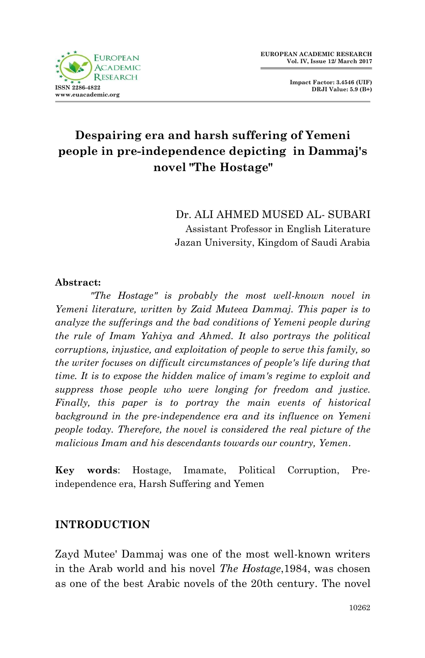

**Impact Factor: 3.4546 (UIF) DRJI Value: 5.9 (B+)**

# **Despairing era and harsh suffering of Yemeni people in pre-independence depicting in Dammaj's novel "The Hostage"**

Dr. ALI AHMED MUSED AL- SUBARI Assistant Professor in English Literature Jazan University, Kingdom of Saudi Arabia

#### **Abstract:**

*"The Hostage" is probably the most well-known novel in Yemeni literature, written by Zaid Muteea Dammaj. This paper is to analyze the sufferings and the bad conditions of Yemeni people during the rule of Imam Yahiya and Ahmed. It also portrays the political corruptions, injustice, and exploitation of people to serve this family, so the writer focuses on difficult circumstances of people's life during that time. It is to expose the hidden malice of imam's regime to exploit and suppress those people who were longing for freedom and justice. Finally, this paper is to portray the main events of historical background in the pre-independence era and its influence on Yemeni people today. Therefore, the novel is considered the real picture of the malicious Imam and his descendants towards our country, Yemen*.

**Key words**: Hostage, Imamate, Political Corruption, Preindependence era, Harsh Suffering and Yemen

### **INTRODUCTION**

Zayd Mutee' Dammaj was one of the most well-known writers in the Arab world and his novel *The Hostage*,1984, was chosen as one of the best Arabic novels of the 20th century. The novel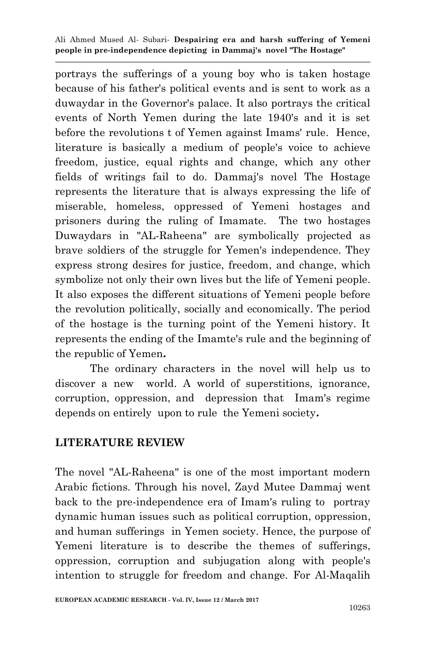portrays the sufferings of a young boy who is taken hostage because of his father's political events and is sent to work as a duwaydar in the Governor's palace. It also portrays the critical events of North Yemen during the late 1940's and it is set before the revolutions t of Yemen against Imams' rule. Hence, literature is basically a medium of people's voice to achieve freedom, justice, equal rights and change, which any other fields of writings fail to do. Dammaj's novel The Hostage represents the literature that is always expressing the life of miserable, homeless, oppressed of Yemeni hostages and prisoners during the ruling of Imamate. The two hostages Duwaydars in "AL-Raheena" are symbolically projected as brave soldiers of the struggle for Yemen's independence. They express strong desires for justice, freedom, and change, which symbolize not only their own lives but the life of Yemeni people. It also exposes the different situations of Yemeni people before the revolution politically, socially and economically. The period of the hostage is the turning point of the Yemeni history. It represents the ending of the Imamte's rule and the beginning of the republic of Yemen**.**

The ordinary characters in the novel will help us to discover a new world. A world of superstitions, ignorance, corruption, oppression, and depression that Imam's regime depends on entirely upon to rule the Yemeni society**.**

### **LITERATURE REVIEW**

The novel "AL-Raheena" is one of the most important modern Arabic fictions. Through his novel, Zayd Mutee Dammaj went back to the pre-independence era of Imam's ruling to portray dynamic human issues such as political corruption, oppression, and human sufferings in Yemen society. Hence, the purpose of Yemeni literature is to describe the themes of sufferings, oppression, corruption and subjugation along with people's intention to struggle for freedom and change. For Al-Maqalih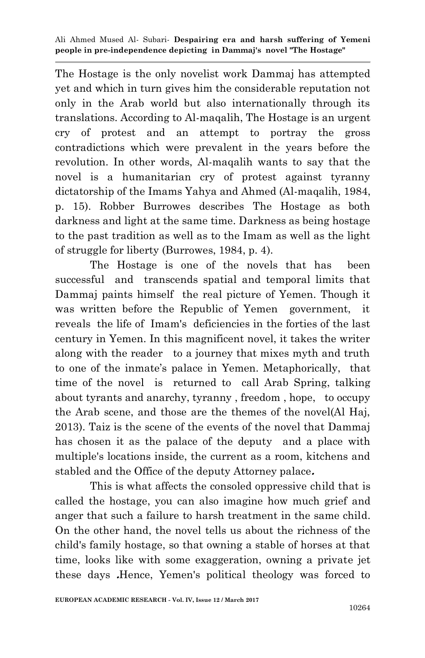The Hostage is the only novelist work Dammaj has attempted yet and which in turn gives him the considerable reputation not only in the Arab world but also internationally through its translations. According to Al-maqalih, The Hostage is an urgent cry of protest and an attempt to portray the gross contradictions which were prevalent in the years before the revolution. In other words, Al-maqalih wants to say that the novel is a humanitarian cry of protest against tyranny dictatorship of the Imams Yahya and Ahmed (Al-maqalih, 1984, p. 15). Robber Burrowes describes The Hostage as both darkness and light at the same time. Darkness as being hostage to the past tradition as well as to the Imam as well as the light of struggle for liberty (Burrowes, 1984, p. 4).

The Hostage is one of the novels that has been successful and transcends spatial and temporal limits that Dammaj paints himself the real picture of Yemen. Though it was written before the Republic of Yemen government, it reveals the life of Imam's deficiencies in the forties of the last century in Yemen. In this magnificent novel, it takes the writer along with the reader to a journey that mixes myth and truth to one of the inmate's palace in Yemen. Metaphorically, that time of the novel is returned to call Arab Spring, talking about tyrants and anarchy, tyranny , freedom , hope, to occupy the Arab scene, and those are the themes of the novel(Al Haj, 2013). Taiz is the scene of the events of the novel that Dammaj has chosen it as the palace of the deputy and a place with multiple's locations inside, the current as a room, kitchens and stabled and the Office of the deputy Attorney palace**.**

This is what affects the consoled oppressive child that is called the hostage, you can also imagine how much grief and anger that such a failure to harsh treatment in the same child. On the other hand, the novel tells us about the richness of the child's family hostage, so that owning a stable of horses at that time, looks like with some exaggeration, owning a private jet these days **.**Hence, Yemen's political theology was forced to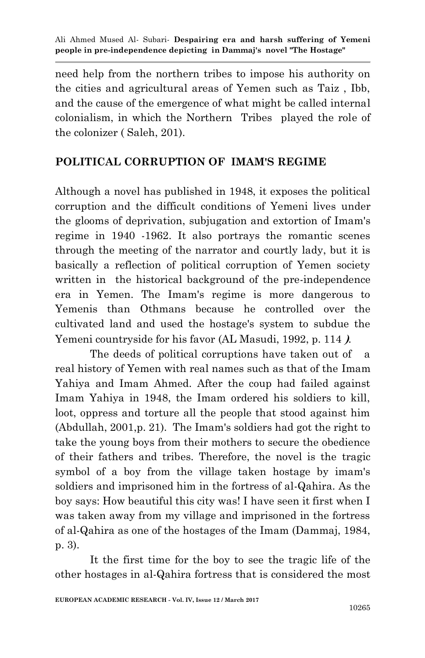need help from the northern tribes to impose his authority on the cities and agricultural areas of Yemen such as Taiz , Ibb, and the cause of the emergence of what might be called internal colonialism, in which the Northern Tribes played the role of the colonizer ( Saleh, 201).

# **POLITICAL CORRUPTION OF IMAM'S REGIME**

Although a novel has published in 1948, it exposes the political corruption and the difficult conditions of Yemeni lives under the glooms of deprivation, subjugation and extortion of Imam's regime in 1940 -1962. It also portrays the romantic scenes through the meeting of the narrator and courtly lady, but it is basically a reflection of political corruption of Yemen society written in the historical background of the pre-independence era in Yemen. The Imam's regime is more dangerous to Yemenis than Othmans because he controlled over the cultivated land and used the hostage's system to subdue the Yemeni countryside for his favor (AL Masudi, 1992, p. 114 **(**.

The deeds of political corruptions have taken out of a real history of Yemen with real names such as that of the Imam Yahiya and Imam Ahmed. After the coup had failed against Imam Yahiya in 1948, the Imam ordered his soldiers to kill, loot, oppress and torture all the people that stood against him (Abdullah, 2001,p. 21). The Imam's soldiers had got the right to take the young boys from their mothers to secure the obedience of their fathers and tribes. Therefore, the novel is the tragic symbol of a boy from the village taken hostage by imam's soldiers and imprisoned him in the fortress of al-Qahira. As the boy says: How beautiful this city was! I have seen it first when I was taken away from my village and imprisoned in the fortress of al-Qahira as one of the hostages of the Imam (Dammaj, 1984, p. 3).

It the first time for the boy to see the tragic life of the other hostages in al-Qahira fortress that is considered the most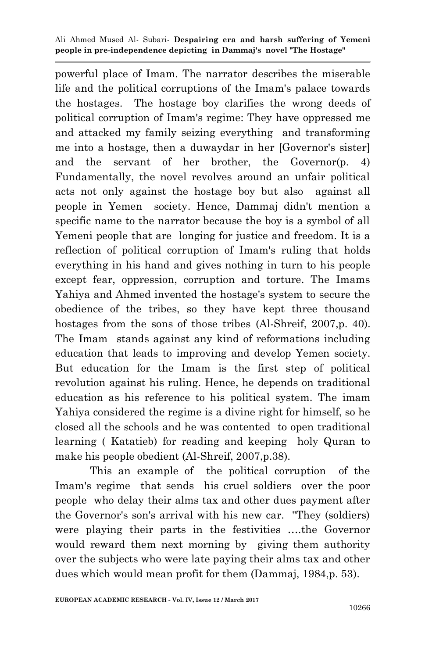powerful place of Imam. The narrator describes the miserable life and the political corruptions of the Imam's palace towards the hostages. The hostage boy clarifies the wrong deeds of political corruption of Imam's regime: They have oppressed me and attacked my family seizing everything and transforming me into a hostage, then a duwaydar in her [Governor's sister] and the servant of her brother, the Governor(p. 4) Fundamentally, the novel revolves around an unfair political acts not only against the hostage boy but also against all people in Yemen society. Hence, Dammaj didn't mention a specific name to the narrator because the boy is a symbol of all Yemeni people that are longing for justice and freedom. It is a reflection of political corruption of Imam's ruling that holds everything in his hand and gives nothing in turn to his people except fear, oppression, corruption and torture. The Imams Yahiya and Ahmed invented the hostage's system to secure the obedience of the tribes, so they have kept three thousand hostages from the sons of those tribes (Al-Shreif, 2007,p. 40). The Imam stands against any kind of reformations including education that leads to improving and develop Yemen society. But education for the Imam is the first step of political revolution against his ruling. Hence, he depends on traditional education as his reference to his political system. The imam Yahiya considered the regime is a divine right for himself, so he closed all the schools and he was contented to open traditional learning ( Katatieb) for reading and keeping holy Quran to make his people obedient (Al-Shreif, 2007,p.38).

This an example of the political corruption of the Imam's regime that sends his cruel soldiers over the poor people who delay their alms tax and other dues payment after the Governor's son's arrival with his new car. "They (soldiers) were playing their parts in the festivities ….the Governor would reward them next morning by giving them authority over the subjects who were late paying their alms tax and other dues which would mean profit for them (Dammaj, 1984,p. 53).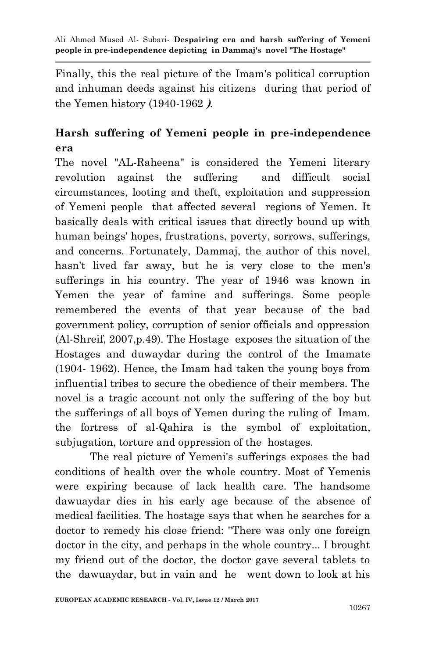Finally, this the real picture of the Imam's political corruption and inhuman deeds against his citizens during that period of the Yemen history (1940-1962 **(**.

# **Harsh suffering of Yemeni people in pre-independence era**

The novel "AL-Raheena" is considered the Yemeni literary revolution against the suffering and difficult social circumstances, looting and theft, exploitation and suppression of Yemeni people that affected several regions of Yemen. It basically deals with critical issues that directly bound up with human beings' hopes, frustrations, poverty, sorrows, sufferings, and concerns. Fortunately, Dammaj, the author of this novel, hasn't lived far away, but he is very close to the men's sufferings in his country. The year of 1946 was known in Yemen the year of famine and sufferings. Some people remembered the events of that year because of the bad government policy, corruption of senior officials and oppression (Al-Shreif, 2007,p.49). The Hostage exposes the situation of the Hostages and duwaydar during the control of the Imamate (1904- 1962). Hence, the Imam had taken the young boys from influential tribes to secure the obedience of their members. The novel is a tragic account not only the suffering of the boy but the sufferings of all boys of Yemen during the ruling of Imam. the fortress of al-Qahira is the symbol of exploitation, subjugation, torture and oppression of the hostages.

The real picture of Yemeni's sufferings exposes the bad conditions of health over the whole country. Most of Yemenis were expiring because of lack health care. The handsome dawuaydar dies in his early age because of the absence of medical facilities. The hostage says that when he searches for a doctor to remedy his close friend: ''There was only one foreign doctor in the city, and perhaps in the whole country... I brought my friend out of the doctor, the doctor gave several tablets to the dawuaydar, but in vain and he went down to look at his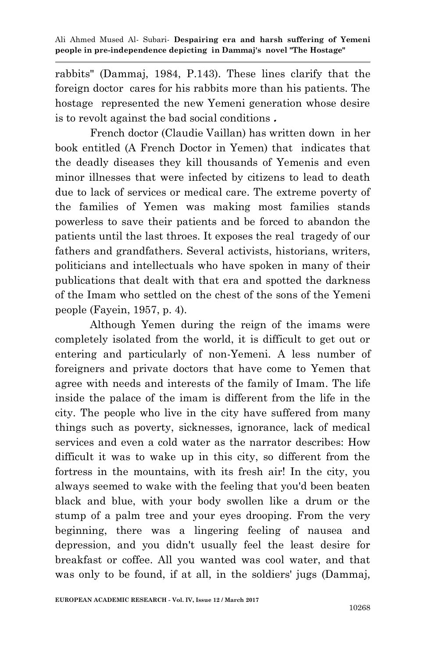rabbits" (Dammaj, 1984, P.143). These lines clarify that the foreign doctor cares for his rabbits more than his patients. The hostage represented the new Yemeni generation whose desire is to revolt against the bad social conditions **.**

French doctor (Claudie Vaillan) has written down in her book entitled (A French Doctor in Yemen) that indicates that the deadly diseases they kill thousands of Yemenis and even minor illnesses that were infected by citizens to lead to death due to lack of services or medical care. The extreme poverty of the families of Yemen was making most families stands powerless to save their patients and be forced to abandon the patients until the last throes. It exposes the real tragedy of our fathers and grandfathers. Several activists, historians, writers, politicians and intellectuals who have spoken in many of their publications that dealt with that era and spotted the darkness of the Imam who settled on the chest of the sons of the Yemeni people (Fayein, 1957, p. 4).

Although Yemen during the reign of the imams were completely isolated from the world, it is difficult to get out or entering and particularly of non-Yemeni. A less number of foreigners and private doctors that have come to Yemen that agree with needs and interests of the family of Imam. The life inside the palace of the imam is different from the life in the city. The people who live in the city have suffered from many things such as poverty, sicknesses, ignorance, lack of medical services and even a cold water as the narrator describes: How difficult it was to wake up in this city, so different from the fortress in the mountains, with its fresh air! In the city, you always seemed to wake with the feeling that you'd been beaten black and blue, with your body swollen like a drum or the stump of a palm tree and your eyes drooping. From the very beginning, there was a lingering feeling of nausea and depression, and you didn't usually feel the least desire for breakfast or coffee. All you wanted was cool water, and that was only to be found, if at all, in the soldiers' jugs (Dammaj,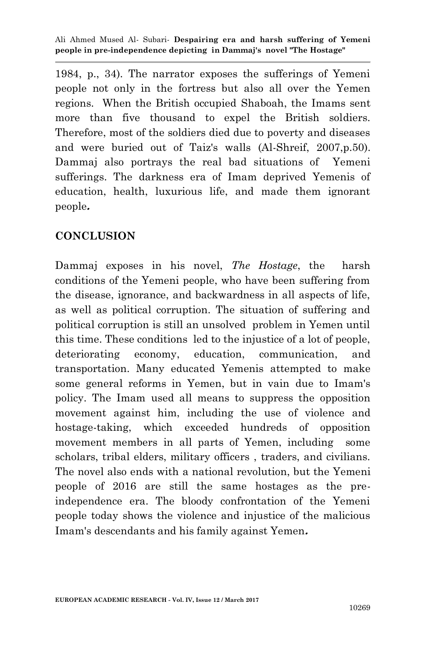1984, p., 34). The narrator exposes the sufferings of Yemeni people not only in the fortress but also all over the Yemen regions. When the British occupied Shaboah, the Imams sent more than five thousand to expel the British soldiers. Therefore, most of the soldiers died due to poverty and diseases and were buried out of Taiz's walls (Al-Shreif, 2007,p.50). Dammaj also portrays the real bad situations of Yemeni sufferings. The darkness era of Imam deprived Yemenis of education, health, luxurious life, and made them ignorant people**.**

### **CONCLUSION**

Dammaj exposes in his novel, *The Hostage*, the harsh conditions of the Yemeni people, who have been suffering from the disease, ignorance, and backwardness in all aspects of life, as well as political corruption. The situation of suffering and political corruption is still an unsolved problem in Yemen until this time. These conditions led to the injustice of a lot of people, deteriorating economy, education, communication, and transportation. Many educated Yemenis attempted to make some general reforms in Yemen, but in vain due to Imam's policy. The Imam used all means to suppress the opposition movement against him, including the use of violence and hostage-taking, which exceeded hundreds of opposition movement members in all parts of Yemen, including some scholars, tribal elders, military officers , traders, and civilians. The novel also ends with a national revolution, but the Yemeni people of 2016 are still the same hostages as the preindependence era. The bloody confrontation of the Yemeni people today shows the violence and injustice of the malicious Imam's descendants and his family against Yemen**.**